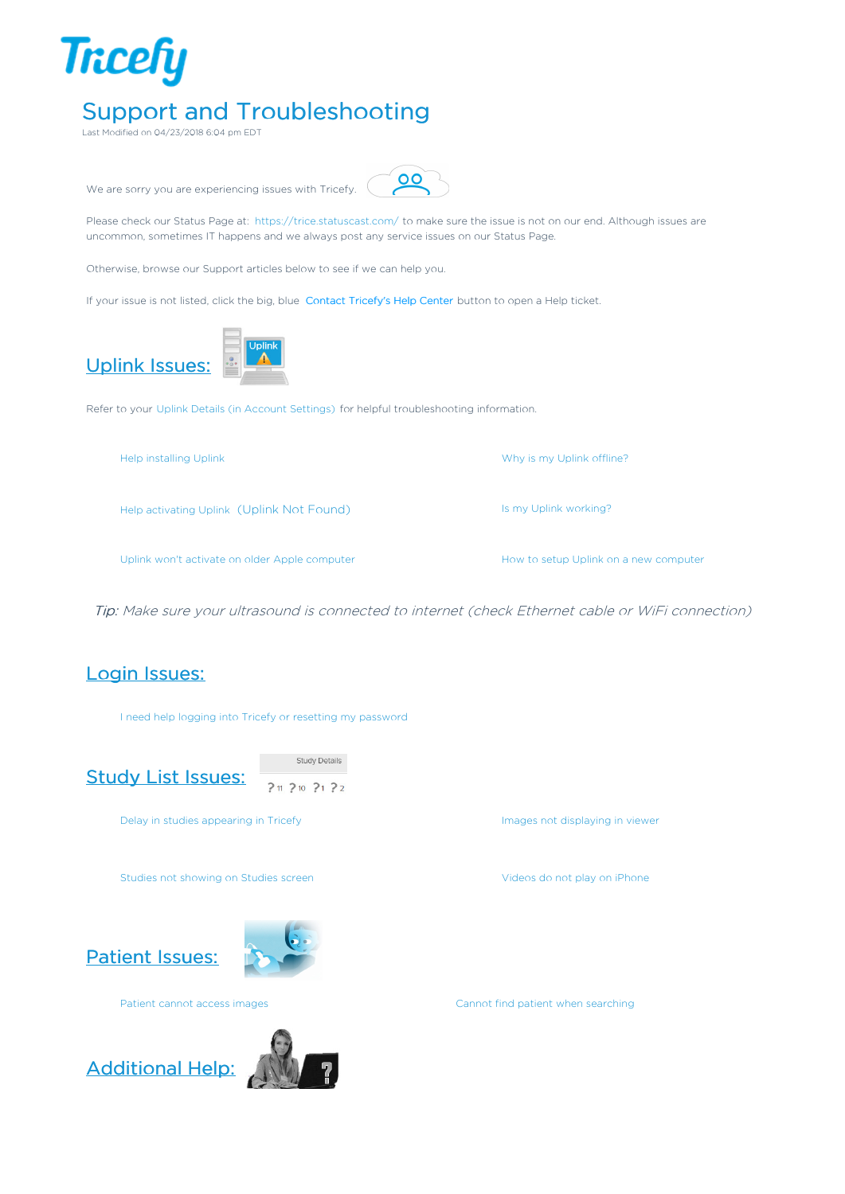

Support and Troubleshooting

Last Modified on 04/23/2018 6:04 pm EDT



 $\overline{O}$ 

Uplink won't activate on older Apple computer **How to setup Uplink on a new computer** How to setup Uplink on a new computer

Tip: Make sure your ultrasound is connected to internet (check Ethernet cable or WiFi connection)

## Login Issues:

I need help logging into Tricefy or resetting my password



**Study Details**  $?11 210 21 22$ 

Delay in studies appearing in Tricefy **Images not displaying in viewer** Delay in viewer

Studies not showing on Studies screen Videos do not play on iPhone

Patient Issues:





Patient cannot access images Cannot find patient when searching